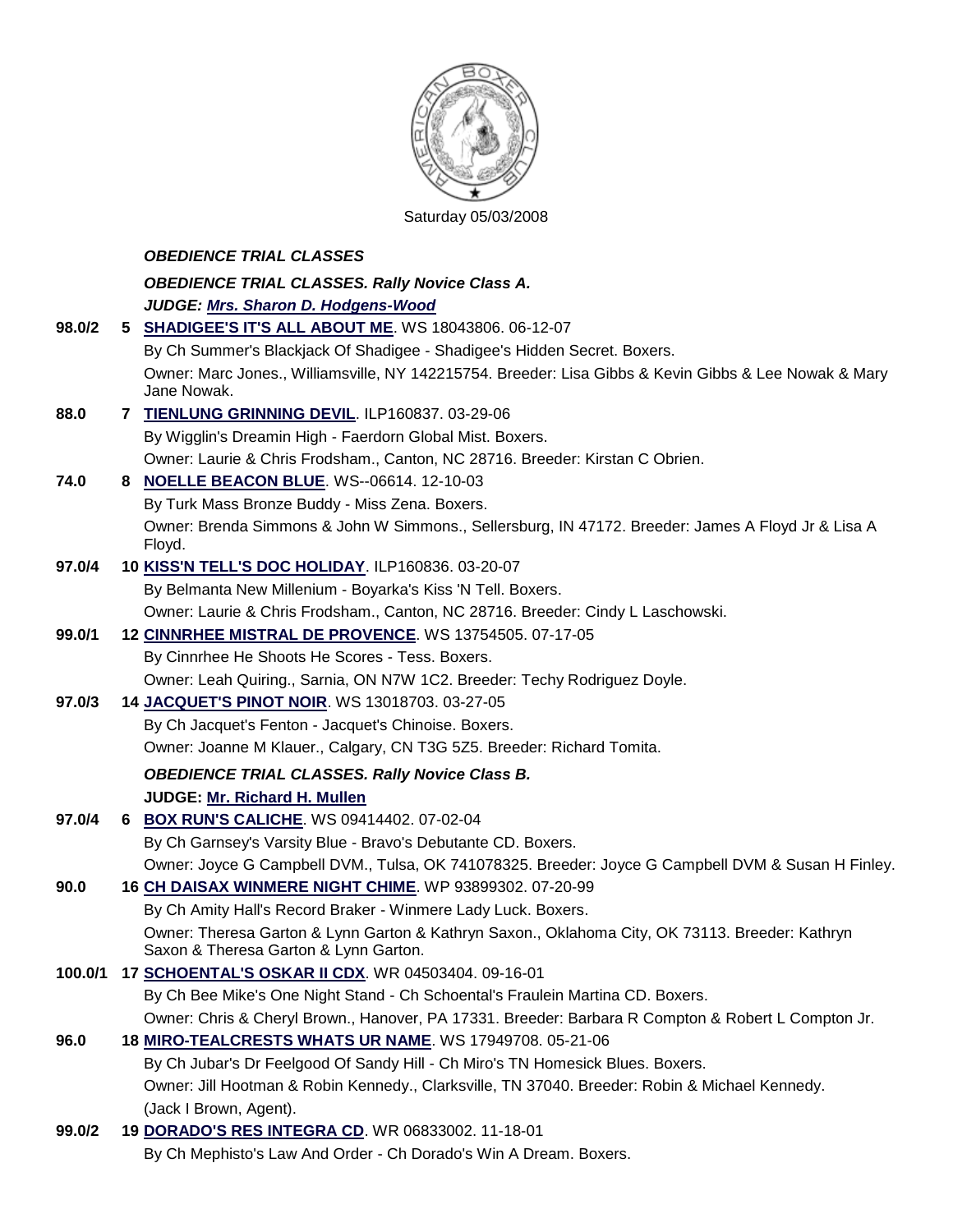

## Saturday 05/03/2008

|               | <b>OBEDIENCE TRIAL CLASSES</b>                                                                                                           |
|---------------|------------------------------------------------------------------------------------------------------------------------------------------|
|               | <b>OBEDIENCE TRIAL CLASSES. Rally Novice Class A.</b>                                                                                    |
|               | JUDGE: Mrs. Sharon D. Hodgens-Wood                                                                                                       |
| 98.0/2        | 5 SHADIGEE'S IT'S ALL ABOUT ME. WS 18043806. 06-12-07                                                                                    |
|               | By Ch Summer's Blackjack Of Shadigee - Shadigee's Hidden Secret. Boxers.                                                                 |
|               | Owner: Marc Jones., Williamsville, NY 142215754. Breeder: Lisa Gibbs & Kevin Gibbs & Lee Nowak & Mary                                    |
| 88.0          | Jane Nowak.                                                                                                                              |
|               | 7 TIENLUNG GRINNING DEVIL. ILP160837. 03-29-06                                                                                           |
|               | By Wigglin's Dreamin High - Faerdorn Global Mist. Boxers.                                                                                |
| 74.0          | Owner: Laurie & Chris Frodsham., Canton, NC 28716. Breeder: Kirstan C Obrien.<br>8 NOELLE BEACON BLUE. WS--06614. 12-10-03               |
|               | By Turk Mass Bronze Buddy - Miss Zena. Boxers.                                                                                           |
|               | Owner: Brenda Simmons & John W Simmons., Sellersburg, IN 47172. Breeder: James A Floyd Jr & Lisa A                                       |
|               | Floyd.                                                                                                                                   |
| 97.0/4        | 10 KISS'N TELL'S DOC HOLIDAY. ILP160836. 03-20-07                                                                                        |
|               | By Belmanta New Millenium - Boyarka's Kiss 'N Tell. Boxers.                                                                              |
|               | Owner: Laurie & Chris Frodsham., Canton, NC 28716. Breeder: Cindy L Laschowski.                                                          |
| 99.0/1        | 12 CINNRHEE MISTRAL DE PROVENCE. WS 13754505. 07-17-05                                                                                   |
|               | By Cinnrhee He Shoots He Scores - Tess. Boxers.                                                                                          |
|               | Owner: Leah Quiring., Sarnia, ON N7W 1C2. Breeder: Techy Rodriguez Doyle.                                                                |
| 97.0/3        | 14 JACQUET'S PINOT NOIR. WS 13018703. 03-27-05                                                                                           |
|               | By Ch Jacquet's Fenton - Jacquet's Chinoise. Boxers.                                                                                     |
|               | Owner: Joanne M Klauer., Calgary, CN T3G 5Z5. Breeder: Richard Tomita.                                                                   |
|               | <b>OBEDIENCE TRIAL CLASSES. Rally Novice Class B.</b>                                                                                    |
|               | JUDGE: Mr. Richard H. Mullen                                                                                                             |
| 97.0/4        | 6 BOX RUN'S CALICHE. WS 09414402. 07-02-04                                                                                               |
|               | By Ch Garnsey's Varsity Blue - Bravo's Debutante CD. Boxers.                                                                             |
|               | Owner: Joyce G Campbell DVM., Tulsa, OK 741078325. Breeder: Joyce G Campbell DVM & Susan H Finley.                                       |
| 90.0          | 16 CH DAISAX WINMERE NIGHT CHIME. WP 93899302. 07-20-99                                                                                  |
|               | By Ch Amity Hall's Record Braker - Winmere Lady Luck. Boxers.                                                                            |
|               | Owner: Theresa Garton & Lynn Garton & Kathryn Saxon., Oklahoma City, OK 73113. Breeder: Kathryn<br>Saxon & Theresa Garton & Lynn Garton. |
| 100.0/1       | 17 SCHOENTAL'S OSKAR II CDX. WR 04503404. 09-16-01                                                                                       |
|               | By Ch Bee Mike's One Night Stand - Ch Schoental's Fraulein Martina CD. Boxers.                                                           |
|               | Owner: Chris & Cheryl Brown., Hanover, PA 17331. Breeder: Barbara R Compton & Robert L Compton Jr.                                       |
| 96.0          | 18 MIRO-TEALCRESTS WHATS UR NAME. WS 17949708. 05-21-06                                                                                  |
|               | By Ch Jubar's Dr Feelgood Of Sandy Hill - Ch Miro's TN Homesick Blues. Boxers.                                                           |
|               | Owner: Jill Hootman & Robin Kennedy., Clarksville, TN 37040. Breeder: Robin & Michael Kennedy.<br>(Jack I Brown, Agent).                 |
| <u>מוח חח</u> | 10 DORADO'S RESINTEGRA ON WR 06022002 11 10 01                                                                                           |

**99.0/2 19 [DORADO'S RES INTEGRA CD](http://canis.infodog.com/files/bdogrsl1.prg;makc=WR_06833002;mdog=Dorado_s_Res_Integra_CD;wins=all)**. WR 06833002. 11-18-01 By Ch Mephisto's Law And Order - Ch Dorado's Win A Dream. Boxers.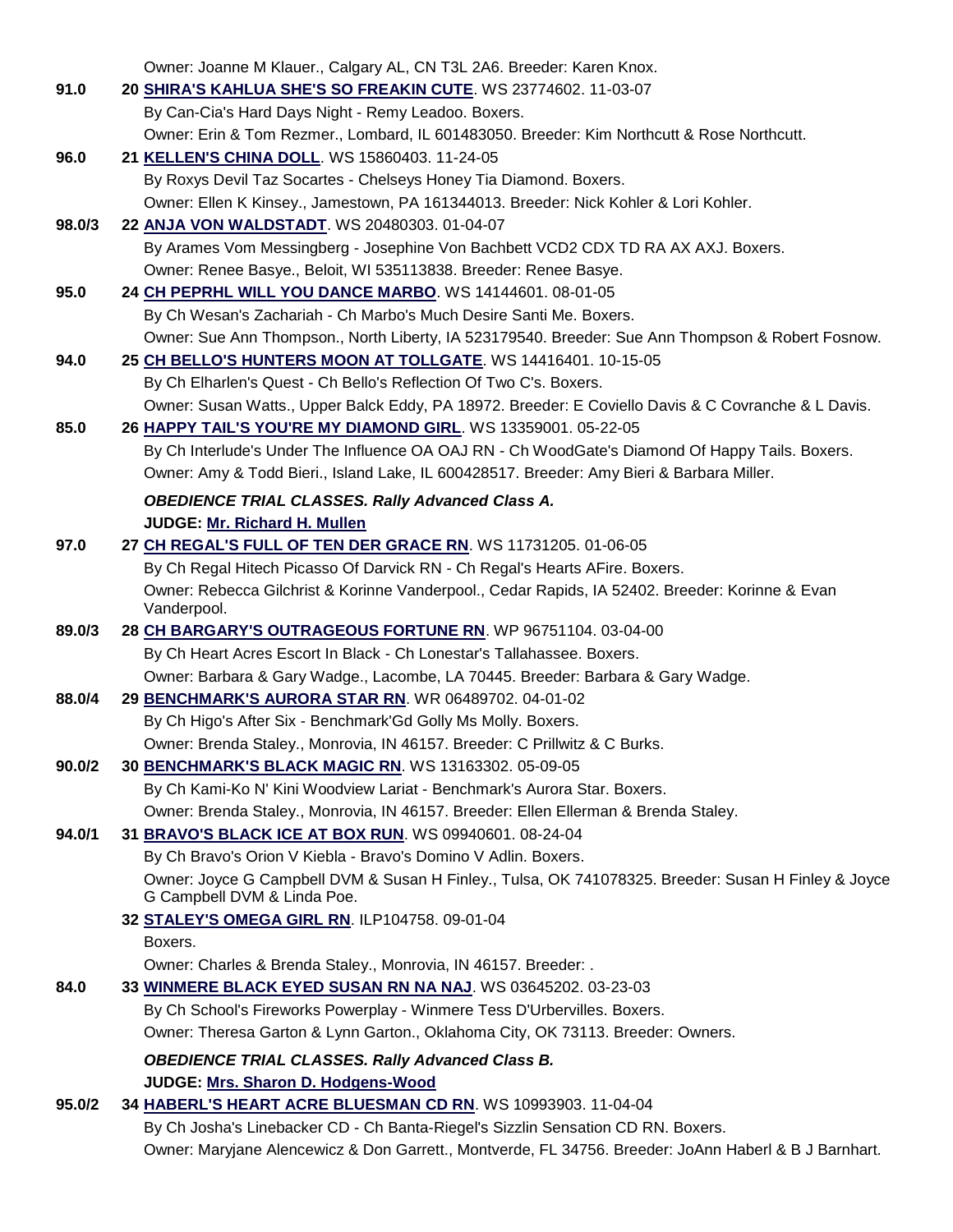|        | Owner: Joanne M Klauer., Calgary AL, CN T3L 2A6. Breeder: Karen Knox.                                 |
|--------|-------------------------------------------------------------------------------------------------------|
| 91.0   | 20 SHIRA'S KAHLUA SHE'S SO FREAKIN CUTE. WS 23774602. 11-03-07                                        |
|        | By Can-Cia's Hard Days Night - Remy Leadoo. Boxers.                                                   |
|        | Owner: Erin & Tom Rezmer., Lombard, IL 601483050. Breeder: Kim Northcutt & Rose Northcutt.            |
| 96.0   | 21 KELLEN'S CHINA DOLL. WS 15860403. 11-24-05                                                         |
|        | By Roxys Devil Taz Socartes - Chelseys Honey Tia Diamond. Boxers.                                     |
|        | Owner: Ellen K Kinsey., Jamestown, PA 161344013. Breeder: Nick Kohler & Lori Kohler.                  |
| 98.0/3 | 22 ANJA VON WALDSTADT. WS 20480303. 01-04-07                                                          |
|        | By Arames Vom Messingberg - Josephine Von Bachbett VCD2 CDX TD RA AX AXJ. Boxers.                     |
|        | Owner: Renee Basye., Beloit, WI 535113838. Breeder: Renee Basye.                                      |
| 95.0   | 24 CH PEPRHL WILL YOU DANCE MARBO. WS 14144601. 08-01-05                                              |
|        | By Ch Wesan's Zachariah - Ch Marbo's Much Desire Santi Me. Boxers.                                    |
|        | Owner: Sue Ann Thompson., North Liberty, IA 523179540. Breeder: Sue Ann Thompson & Robert Fosnow.     |
| 94.0   | 25 CH BELLO'S HUNTERS MOON AT TOLLGATE. WS 14416401. 10-15-05                                         |
|        | By Ch Elharlen's Quest - Ch Bello's Reflection Of Two C's. Boxers.                                    |
|        | Owner: Susan Watts., Upper Balck Eddy, PA 18972. Breeder: E Coviello Davis & C Covranche & L Davis.   |
| 85.0   | 26 HAPPY TAIL'S YOU'RE MY DIAMOND GIRL. WS 13359001. 05-22-05                                         |
|        | By Ch Interlude's Under The Influence OA OAJ RN - Ch WoodGate's Diamond Of Happy Tails. Boxers.       |
|        | Owner: Amy & Todd Bieri., Island Lake, IL 600428517. Breeder: Amy Bieri & Barbara Miller.             |
|        | <b>OBEDIENCE TRIAL CLASSES. Rally Advanced Class A.</b>                                               |
|        | JUDGE: Mr. Richard H. Mullen                                                                          |
| 97.0   | 27 CH REGAL'S FULL OF TEN DER GRACE RN. WS 11731205. 01-06-05                                         |
|        | By Ch Regal Hitech Picasso Of Darvick RN - Ch Regal's Hearts AFire. Boxers.                           |
|        | Owner: Rebecca Gilchrist & Korinne Vanderpool., Cedar Rapids, IA 52402. Breeder: Korinne & Evan       |
| 89.0/3 | Vanderpool.<br>28 CH BARGARY'S OUTRAGEOUS FORTUNE RN. WP 96751104. 03-04-00                           |
|        | By Ch Heart Acres Escort In Black - Ch Lonestar's Tallahassee. Boxers.                                |
|        | Owner: Barbara & Gary Wadge., Lacombe, LA 70445. Breeder: Barbara & Gary Wadge.                       |
| 88.0/4 | 29 BENCHMARK'S AURORA STAR RN. WR 06489702. 04-01-02                                                  |
|        | By Ch Higo's After Six - Benchmark'Gd Golly Ms Molly. Boxers.                                         |
|        | Owner: Brenda Staley., Monrovia, IN 46157. Breeder: C Prillwitz & C Burks.                            |
| 90.0/2 | 30 BENCHMARK'S BLACK MAGIC RN. WS 13163302. 05-09-05                                                  |
|        | By Ch Kami-Ko N' Kini Woodview Lariat - Benchmark's Aurora Star. Boxers.                              |
|        | Owner: Brenda Staley., Monrovia, IN 46157. Breeder: Ellen Ellerman & Brenda Staley.                   |
| 94.0/1 | 31 BRAVO'S BLACK ICE AT BOX RUN. WS 09940601. 08-24-04                                                |
|        | By Ch Bravo's Orion V Kiebla - Bravo's Domino V Adlin. Boxers.                                        |
|        | Owner: Joyce G Campbell DVM & Susan H Finley., Tulsa, OK 741078325. Breeder: Susan H Finley & Joyce   |
|        | G Campbell DVM & Linda Poe.                                                                           |
|        | 32 STALEY'S OMEGA GIRL RN. ILP104758. 09-01-04                                                        |
|        | Boxers.                                                                                               |
|        | Owner: Charles & Brenda Staley., Monrovia, IN 46157. Breeder: .                                       |
| 84.0   | 33 WINMERE BLACK EYED SUSAN RN NA NAJ. WS 03645202. 03-23-03                                          |
|        | By Ch School's Fireworks Powerplay - Winmere Tess D'Urbervilles. Boxers.                              |
|        | Owner: Theresa Garton & Lynn Garton., Oklahoma City, OK 73113. Breeder: Owners.                       |
|        | <b>OBEDIENCE TRIAL CLASSES. Rally Advanced Class B.</b>                                               |
|        | JUDGE: Mrs. Sharon D. Hodgens-Wood                                                                    |
| 95.0/2 | 34 HABERL'S HEART ACRE BLUESMAN CD RN. WS 10993903. 11-04-04                                          |
|        | By Ch Josha's Linebacker CD - Ch Banta-Riegel's Sizzlin Sensation CD RN. Boxers.                      |
|        | Owner: Maryjane Alencewicz & Don Garrett., Montverde, FL 34756. Breeder: JoAnn Haberl & B J Barnhart. |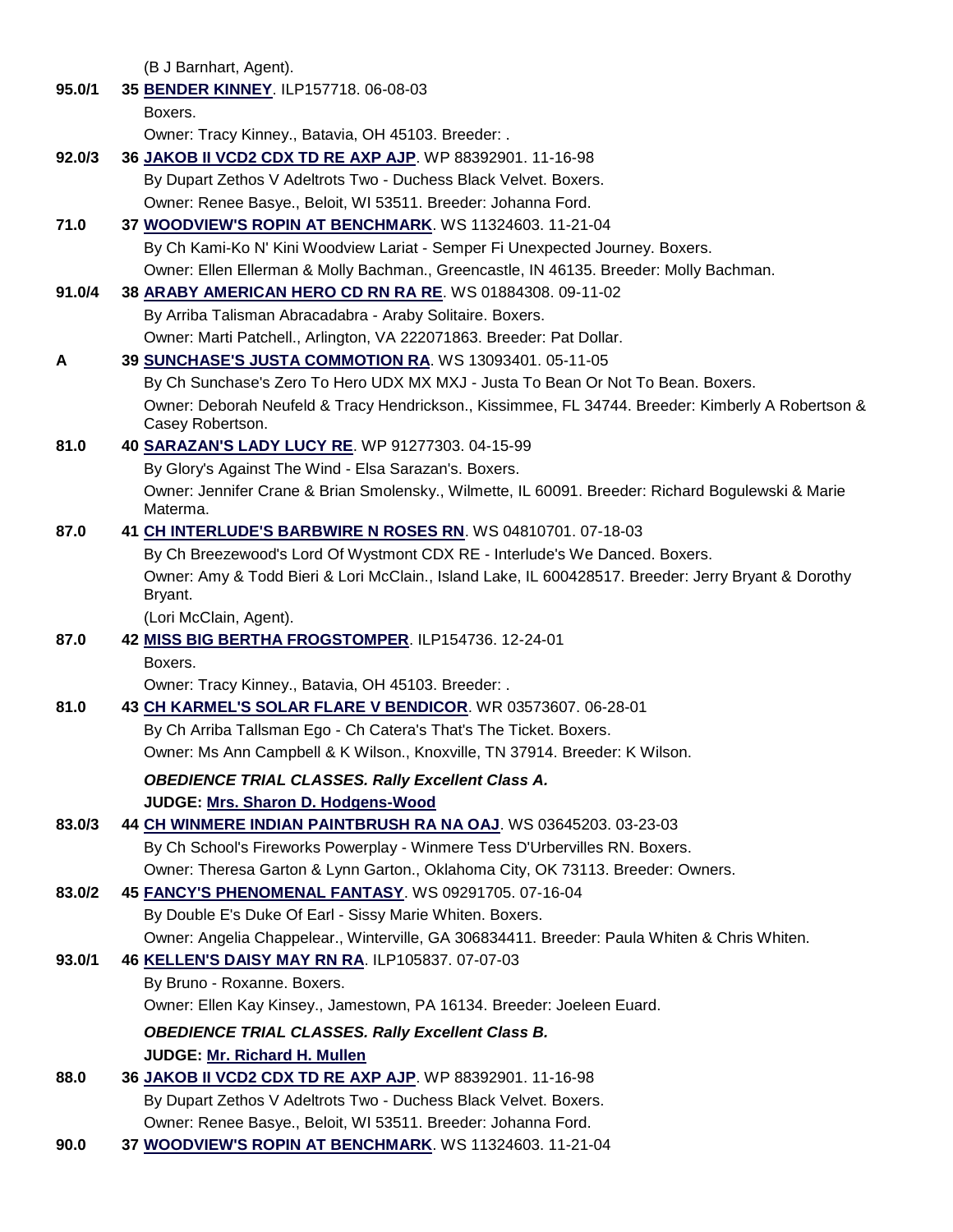(B J Barnhart, Agent).

**95.0/1 35 [BENDER KINNEY](http://canis.infodog.com/files/bdogrsl1.prg;makc=ILP157718;mdog=Bender_Kinney;wins=all)**. ILP157718. 06-08-03 Boxers. Owner: Tracy Kinney., Batavia, OH 45103. Breeder: . **92.0/3 36 [JAKOB II VCD2 CDX TD RE AXP AJP](http://canis.infodog.com/files/bdogrsl1.prg;makc=WP_88392901;mdog=Jakob_II_VCD2_CDX_TD_RE_AXP_AJP;wins=all)**. WP 88392901. 11-16-98 By Dupart Zethos V Adeltrots Two - Duchess Black Velvet. Boxers. Owner: Renee Basye., Beloit, WI 53511. Breeder: Johanna Ford. **71.0 37 [WOODVIEW'S ROPIN AT BENCHMARK](http://canis.infodog.com/files/bdogrsl1.prg;makc=WS_11324603;mdog=Woodview_s_Ropin_At_Benchmark;wins=all)**. WS 11324603. 11-21-04 By Ch Kami-Ko N' Kini Woodview Lariat - Semper Fi Unexpected Journey. Boxers. Owner: Ellen Ellerman & Molly Bachman., Greencastle, IN 46135. Breeder: Molly Bachman. **91.0/4 38 [ARABY AMERICAN HERO CD RN RA RE](http://canis.infodog.com/files/bdogrsl1.prg;makc=WS_01884308;mdog=Araby_American_Hero_CD_RN_RA_RE;wins=all)**. WS 01884308. 09-11-02 By Arriba Talisman Abracadabra - Araby Solitaire. Boxers. Owner: Marti Patchell., Arlington, VA 222071863. Breeder: Pat Dollar. **A 39 [SUNCHASE'S JUSTA COMMOTION RA](http://canis.infodog.com/files/bdogrsl1.prg;makc=WS_13093401;mdog=Sunchase_s_Justa_Commotion_RA;wins=all)**. WS 13093401. 05-11-05 By Ch Sunchase's Zero To Hero UDX MX MXJ - Justa To Bean Or Not To Bean. Boxers. Owner: Deborah Neufeld & Tracy Hendrickson., Kissimmee, FL 34744. Breeder: Kimberly A Robertson & Casey Robertson. **81.0 40 [SARAZAN'S LADY LUCY RE](http://canis.infodog.com/files/bdogrsl1.prg;makc=WP_91277303;mdog=Sarazan_s_Lady_Lucy_RE;wins=all)**. WP 91277303. 04-15-99 By Glory's Against The Wind - Elsa Sarazan's. Boxers. Owner: Jennifer Crane & Brian Smolensky., Wilmette, IL 60091. Breeder: Richard Bogulewski & Marie Materma. **87.0 41 [CH INTERLUDE'S BARBWIRE N ROSES RN](http://canis.infodog.com/files/bdogrsl1.prg;makc=WS_04810701;mdog=Ch_Interlude_s_Barbwire_N_Roses_RN;wins=all)**. WS 04810701. 07-18-03 By Ch Breezewood's Lord Of Wystmont CDX RE - Interlude's We Danced. Boxers. Owner: Amy & Todd Bieri & Lori McClain., Island Lake, IL 600428517. Breeder: Jerry Bryant & Dorothy Bryant. (Lori McClain, Agent). **87.0 42 [MISS BIG BERTHA FROGSTOMPER](http://canis.infodog.com/files/bdogrsl1.prg;makc=ILP154736;mdog=Miss_Big_Bertha_Frogstomper;wins=all)**. ILP154736. 12-24-01 Boxers. Owner: Tracy Kinney., Batavia, OH 45103. Breeder: . **81.0 43 [CH KARMEL'S SOLAR FLARE V BENDICOR](http://canis.infodog.com/files/bdogrsl1.prg;makc=WR_03573607;mdog=Ch_Karmel_s_Solar_Flare_V_Bendicor;wins=all)**. WR 03573607. 06-28-01 By Ch Arriba Tallsman Ego - Ch Catera's That's The Ticket. Boxers. Owner: Ms Ann Campbell & K Wilson., Knoxville, TN 37914. Breeder: K Wilson. *OBEDIENCE TRIAL CLASSES. Rally Excellent Class A.* **JUDGE: [Mrs. Sharon D. Hodgens-Wood](http://www.infodog.com/judges/6938/juddat.htm)  83.0/3 44 [CH WINMERE INDIAN PAINTBRUSH RA NA OAJ](http://canis.infodog.com/files/bdogrsl1.prg;makc=WS_03645203;mdog=Ch_Winmere_Indian_Paintbrush_RA_NA_OAJ;wins=all)**. WS 03645203. 03-23-03 By Ch School's Fireworks Powerplay - Winmere Tess D'Urbervilles RN. Boxers. Owner: Theresa Garton & Lynn Garton., Oklahoma City, OK 73113. Breeder: Owners. **83.0/2 45 [FANCY'S PHENOMENAL FANTASY](http://canis.infodog.com/files/bdogrsl1.prg;makc=WS_09291705;mdog=Fancy_s_Phenomenal_Fantasy;wins=all)**. WS 09291705. 07-16-04 By Double E's Duke Of Earl - Sissy Marie Whiten. Boxers. Owner: Angelia Chappelear., Winterville, GA 306834411. Breeder: Paula Whiten & Chris Whiten. **93.0/1 46 [KELLEN'S DAISY MAY RN RA](http://canis.infodog.com/files/bdogrsl1.prg;makc=ILP105837;mdog=Kellen_s_Daisy_May_RN_RA;wins=all)**. ILP105837. 07-07-03 By Bruno - Roxanne. Boxers. Owner: Ellen Kay Kinsey., Jamestown, PA 16134. Breeder: Joeleen Euard. *OBEDIENCE TRIAL CLASSES. Rally Excellent Class B.* **JUDGE: [Mr. Richard H. Mullen](http://www.infodog.com/judges/3052/juddat.htm)  88.0 36 [JAKOB II VCD2 CDX TD RE AXP AJP](http://canis.infodog.com/files/bdogrsl1.prg;makc=WP_88392901;mdog=Jakob_II_VCD2_CDX_TD_RE_AXP_AJP;wins=all)**. WP 88392901. 11-16-98 By Dupart Zethos V Adeltrots Two - Duchess Black Velvet. Boxers. Owner: Renee Basye., Beloit, WI 53511. Breeder: Johanna Ford.

**90.0 37 [WOODVIEW'S ROPIN AT BENCHMARK](http://canis.infodog.com/files/bdogrsl1.prg;makc=WS_11324603;mdog=Woodview_s_Ropin_At_Benchmark;wins=all)**. WS 11324603. 11-21-04